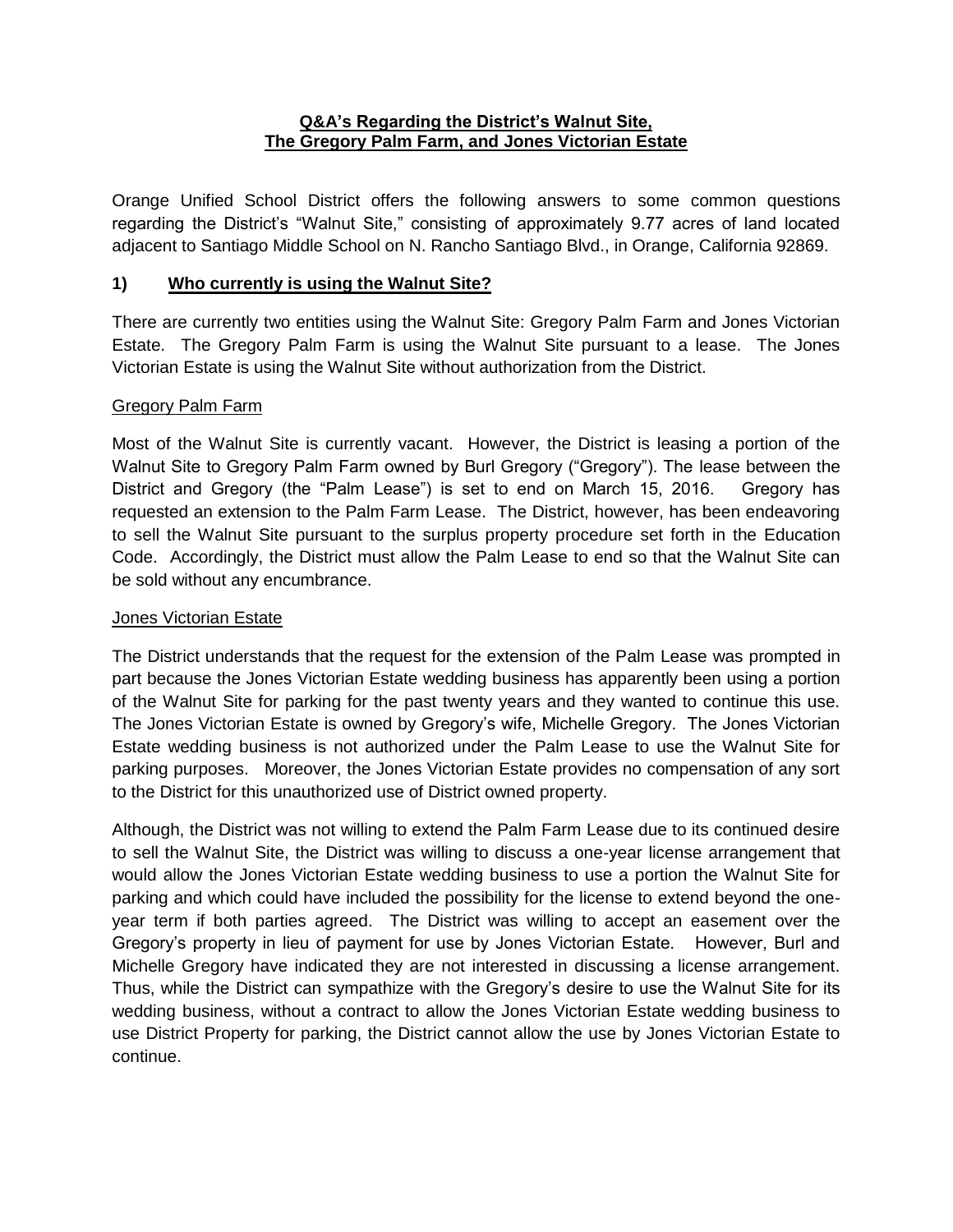#### **Q&A's Regarding the District's Walnut Site, The Gregory Palm Farm, and Jones Victorian Estate**

Orange Unified School District offers the following answers to some common questions regarding the District's "Walnut Site," consisting of approximately 9.77 acres of land located adjacent to Santiago Middle School on N. Rancho Santiago Blvd., in Orange, California 92869.

#### **1) Who currently is using the Walnut Site?**

There are currently two entities using the Walnut Site: Gregory Palm Farm and Jones Victorian Estate. The Gregory Palm Farm is using the Walnut Site pursuant to a lease. The Jones Victorian Estate is using the Walnut Site without authorization from the District.

#### Gregory Palm Farm

Most of the Walnut Site is currently vacant. However, the District is leasing a portion of the Walnut Site to Gregory Palm Farm owned by Burl Gregory ("Gregory"). The lease between the District and Gregory (the "Palm Lease") is set to end on March 15, 2016. Gregory has requested an extension to the Palm Farm Lease. The District, however, has been endeavoring to sell the Walnut Site pursuant to the surplus property procedure set forth in the Education Code. Accordingly, the District must allow the Palm Lease to end so that the Walnut Site can be sold without any encumbrance.

#### Jones Victorian Estate

The District understands that the request for the extension of the Palm Lease was prompted in part because the Jones Victorian Estate wedding business has apparently been using a portion of the Walnut Site for parking for the past twenty years and they wanted to continue this use. The Jones Victorian Estate is owned by Gregory's wife, Michelle Gregory. The Jones Victorian Estate wedding business is not authorized under the Palm Lease to use the Walnut Site for parking purposes. Moreover, the Jones Victorian Estate provides no compensation of any sort to the District for this unauthorized use of District owned property.

Although, the District was not willing to extend the Palm Farm Lease due to its continued desire to sell the Walnut Site, the District was willing to discuss a one-year license arrangement that would allow the Jones Victorian Estate wedding business to use a portion the Walnut Site for parking and which could have included the possibility for the license to extend beyond the oneyear term if both parties agreed. The District was willing to accept an easement over the Gregory's property in lieu of payment for use by Jones Victorian Estate. However, Burl and Michelle Gregory have indicated they are not interested in discussing a license arrangement. Thus, while the District can sympathize with the Gregory's desire to use the Walnut Site for its wedding business, without a contract to allow the Jones Victorian Estate wedding business to use District Property for parking, the District cannot allow the use by Jones Victorian Estate to continue.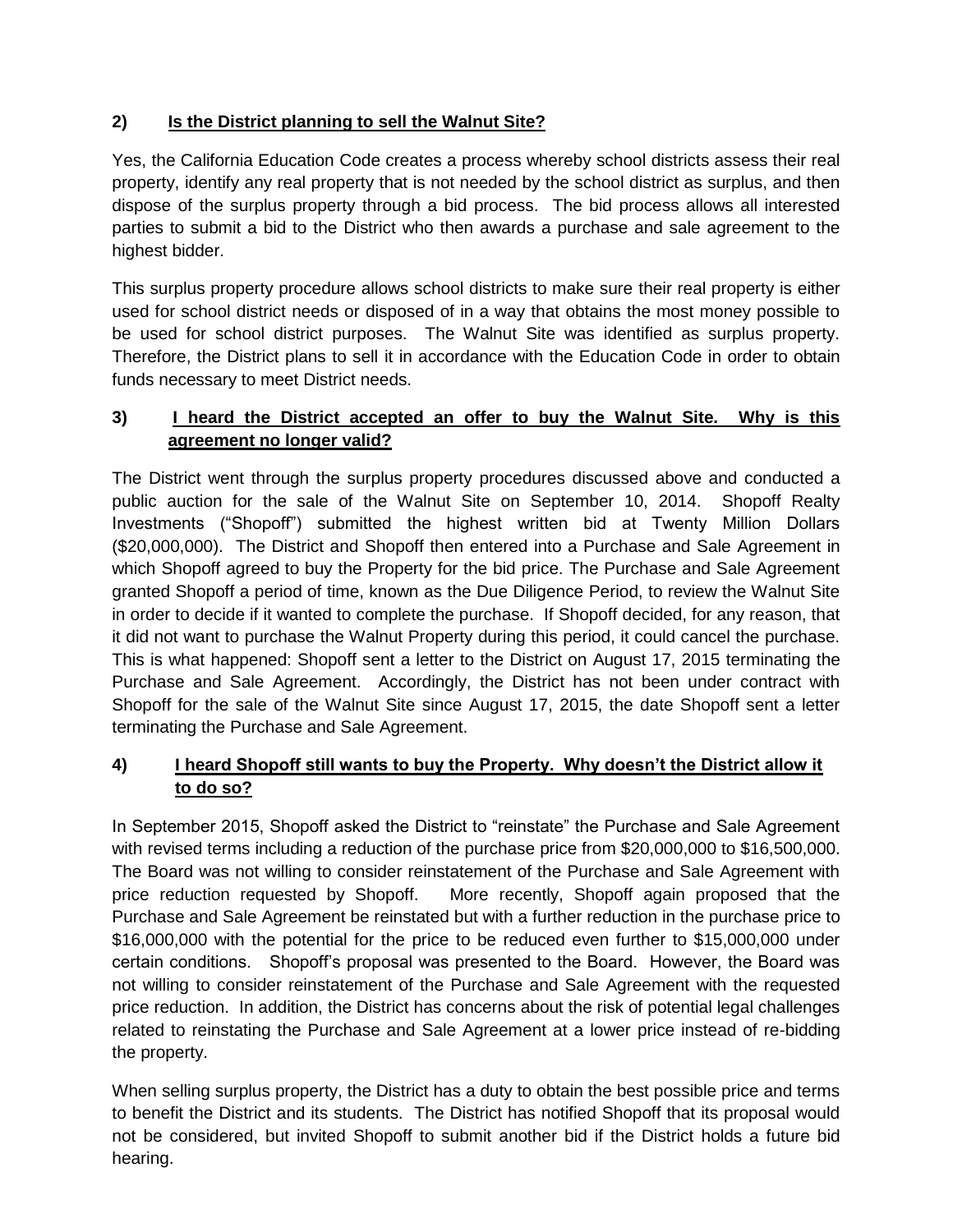## **2) Is the District planning to sell the Walnut Site?**

Yes, the California Education Code creates a process whereby school districts assess their real property, identify any real property that is not needed by the school district as surplus, and then dispose of the surplus property through a bid process. The bid process allows all interested parties to submit a bid to the District who then awards a purchase and sale agreement to the highest bidder.

This surplus property procedure allows school districts to make sure their real property is either used for school district needs or disposed of in a way that obtains the most money possible to be used for school district purposes. The Walnut Site was identified as surplus property. Therefore, the District plans to sell it in accordance with the Education Code in order to obtain funds necessary to meet District needs.

# **3) I heard the District accepted an offer to buy the Walnut Site. Why is this agreement no longer valid?**

The District went through the surplus property procedures discussed above and conducted a public auction for the sale of the Walnut Site on September 10, 2014. Shopoff Realty Investments ("Shopoff") submitted the highest written bid at Twenty Million Dollars (\$20,000,000). The District and Shopoff then entered into a Purchase and Sale Agreement in which Shopoff agreed to buy the Property for the bid price. The Purchase and Sale Agreement granted Shopoff a period of time, known as the Due Diligence Period, to review the Walnut Site in order to decide if it wanted to complete the purchase. If Shopoff decided, for any reason, that it did not want to purchase the Walnut Property during this period, it could cancel the purchase. This is what happened: Shopoff sent a letter to the District on August 17, 2015 terminating the Purchase and Sale Agreement. Accordingly, the District has not been under contract with Shopoff for the sale of the Walnut Site since August 17, 2015, the date Shopoff sent a letter terminating the Purchase and Sale Agreement.

### **4) I heard Shopoff still wants to buy the Property. Why doesn't the District allow it to do so?**

In September 2015, Shopoff asked the District to "reinstate" the Purchase and Sale Agreement with revised terms including a reduction of the purchase price from \$20,000,000 to \$16,500,000. The Board was not willing to consider reinstatement of the Purchase and Sale Agreement with price reduction requested by Shopoff. More recently, Shopoff again proposed that the Purchase and Sale Agreement be reinstated but with a further reduction in the purchase price to \$16,000,000 with the potential for the price to be reduced even further to \$15,000,000 under certain conditions. Shopoff's proposal was presented to the Board. However, the Board was not willing to consider reinstatement of the Purchase and Sale Agreement with the requested price reduction. In addition, the District has concerns about the risk of potential legal challenges related to reinstating the Purchase and Sale Agreement at a lower price instead of re-bidding the property.

When selling surplus property, the District has a duty to obtain the best possible price and terms to benefit the District and its students. The District has notified Shopoff that its proposal would not be considered, but invited Shopoff to submit another bid if the District holds a future bid hearing.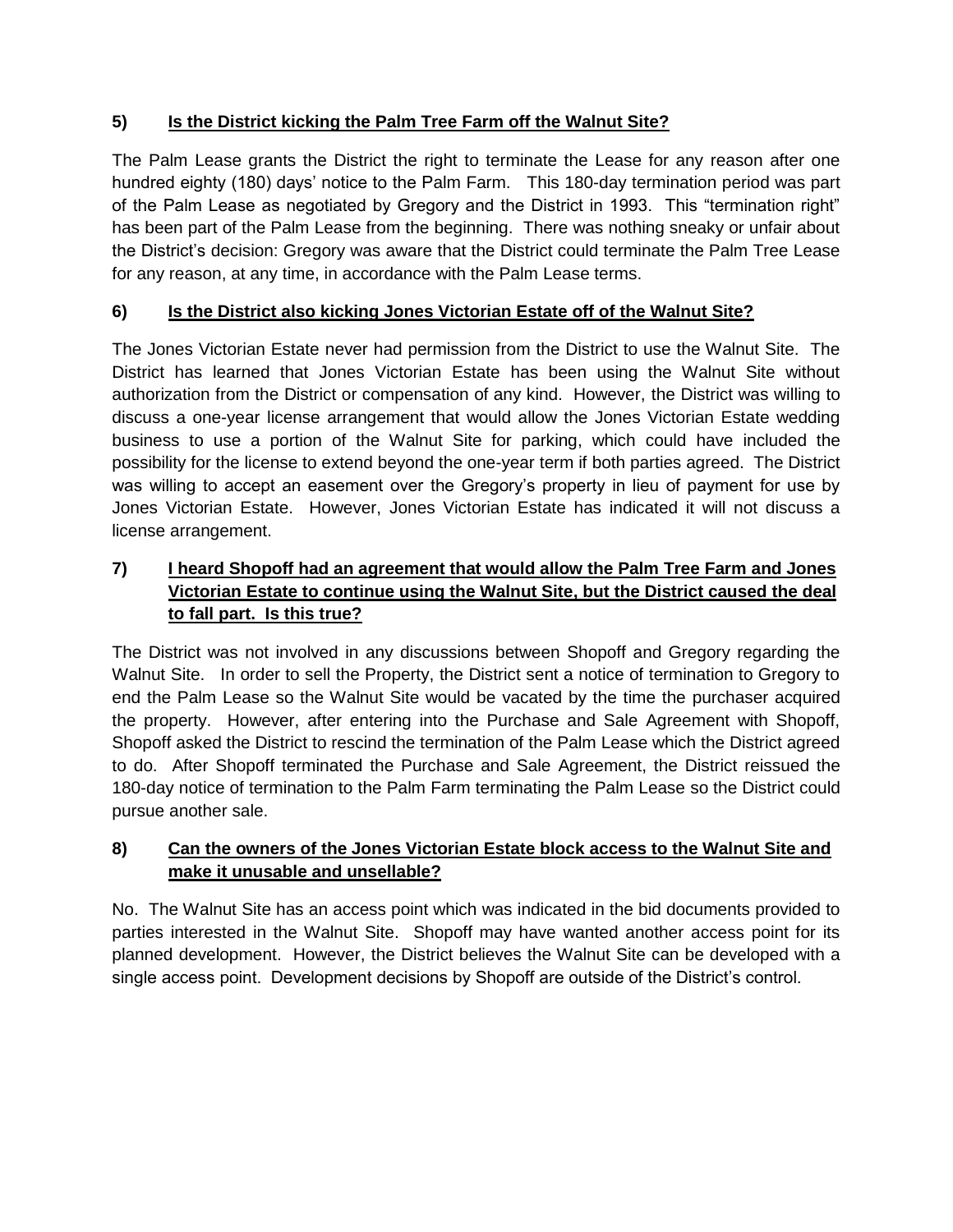# **5) Is the District kicking the Palm Tree Farm off the Walnut Site?**

The Palm Lease grants the District the right to terminate the Lease for any reason after one hundred eighty (180) days' notice to the Palm Farm. This 180-day termination period was part of the Palm Lease as negotiated by Gregory and the District in 1993. This "termination right" has been part of the Palm Lease from the beginning. There was nothing sneaky or unfair about the District's decision: Gregory was aware that the District could terminate the Palm Tree Lease for any reason, at any time, in accordance with the Palm Lease terms.

# **6) Is the District also kicking Jones Victorian Estate off of the Walnut Site?**

The Jones Victorian Estate never had permission from the District to use the Walnut Site. The District has learned that Jones Victorian Estate has been using the Walnut Site without authorization from the District or compensation of any kind. However, the District was willing to discuss a one-year license arrangement that would allow the Jones Victorian Estate wedding business to use a portion of the Walnut Site for parking, which could have included the possibility for the license to extend beyond the one-year term if both parties agreed. The District was willing to accept an easement over the Gregory's property in lieu of payment for use by Jones Victorian Estate. However, Jones Victorian Estate has indicated it will not discuss a license arrangement.

## **7) I heard Shopoff had an agreement that would allow the Palm Tree Farm and Jones Victorian Estate to continue using the Walnut Site, but the District caused the deal to fall part. Is this true?**

The District was not involved in any discussions between Shopoff and Gregory regarding the Walnut Site. In order to sell the Property, the District sent a notice of termination to Gregory to end the Palm Lease so the Walnut Site would be vacated by the time the purchaser acquired the property. However, after entering into the Purchase and Sale Agreement with Shopoff, Shopoff asked the District to rescind the termination of the Palm Lease which the District agreed to do. After Shopoff terminated the Purchase and Sale Agreement, the District reissued the 180-day notice of termination to the Palm Farm terminating the Palm Lease so the District could pursue another sale.

### **8) Can the owners of the Jones Victorian Estate block access to the Walnut Site and make it unusable and unsellable?**

No. The Walnut Site has an access point which was indicated in the bid documents provided to parties interested in the Walnut Site. Shopoff may have wanted another access point for its planned development. However, the District believes the Walnut Site can be developed with a single access point. Development decisions by Shopoff are outside of the District's control.